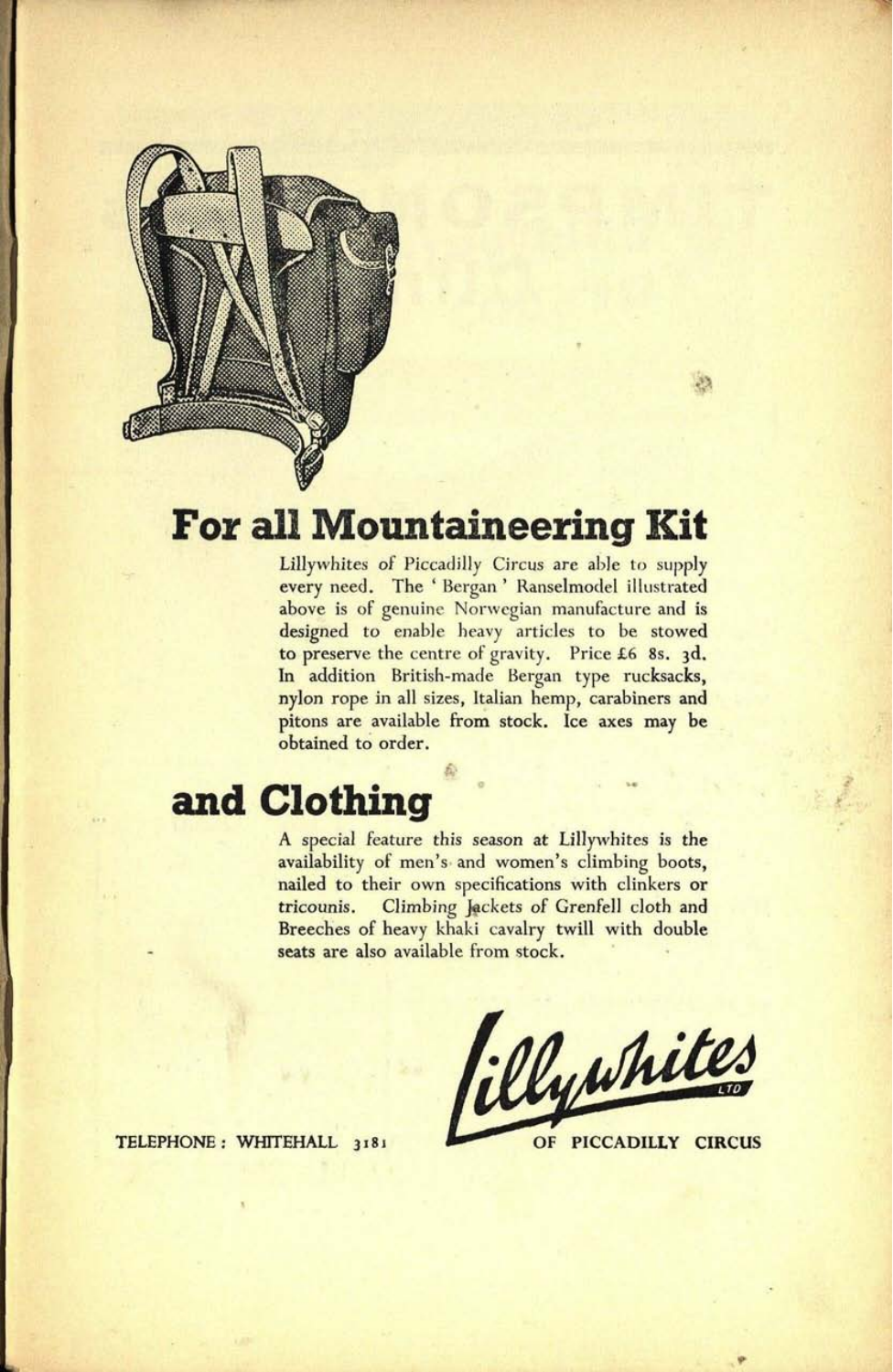

### **For all Mountaineering Kit**

&

Lillywhites of Piccadilly Circus are able to supply every need. The ' Bergan ' Ranselmodel illustrated above is of genuine Norwegian manufacture and is designed to enable heavy articles to be stowed to preserve the centre of gravity. Price £6 8s. 3d. In addition British-made Bergan type rucksacks, nylon rope in all sizes, Italian hemp, carabiners and pitons are available from stock. Ice axes may be obtained to order.

### **and Clothing**

A special feature this season at Lillywhites is the availability of men's and women's climbing boots, nailed to their own specifications with clinkers or tricounis. Climbing Jackets of Grenfell cloth and Breeches of heavy khaki cavalry twill with double seats are also available from stock.

filly white

TELEPHONE: WHITEHALL 3181 **OF PICCADILLY CIRCUS**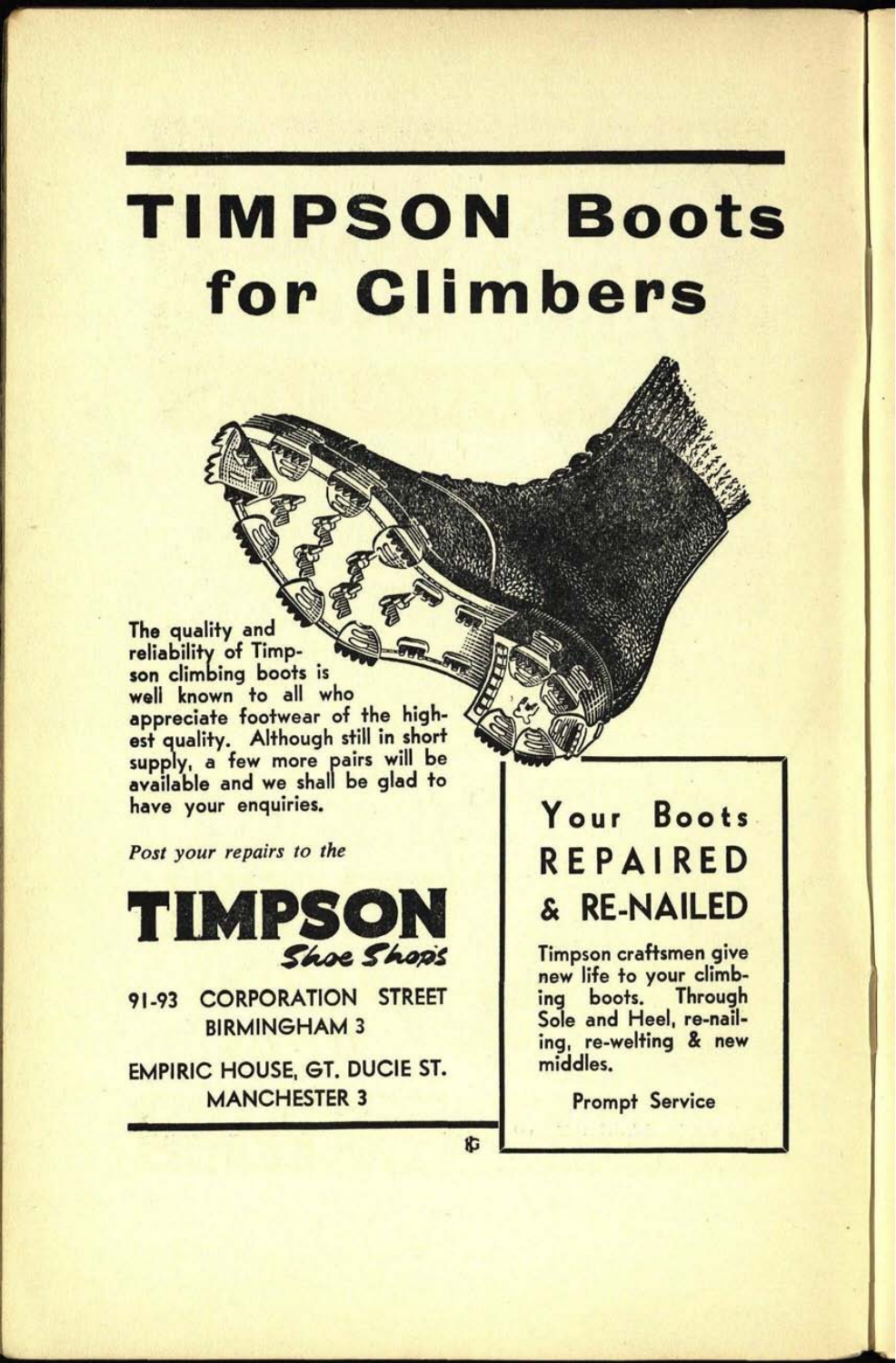# **TIMPSON Boots for Climbers**

The quality and reliability of Timpson climbing boots is well known to all who appreciate footwear of the highest quality. Although still in short supply, a few more pairs will be available and we shall be glad to have your enquiries.

*Post your repairs to the*



91-93 CORPORATION STREET BIRMINGHAM 3

EMPIRIC HOUSE, ST. DUCIE ST. MANCHESTER 3

### **Your Boots** REPAIRED & RE-NAILED

Timpson craftsmen give new life to your climbing boots. Through Sole and Heel, re-nailing, re-welting & new middles.

Prompt Service

広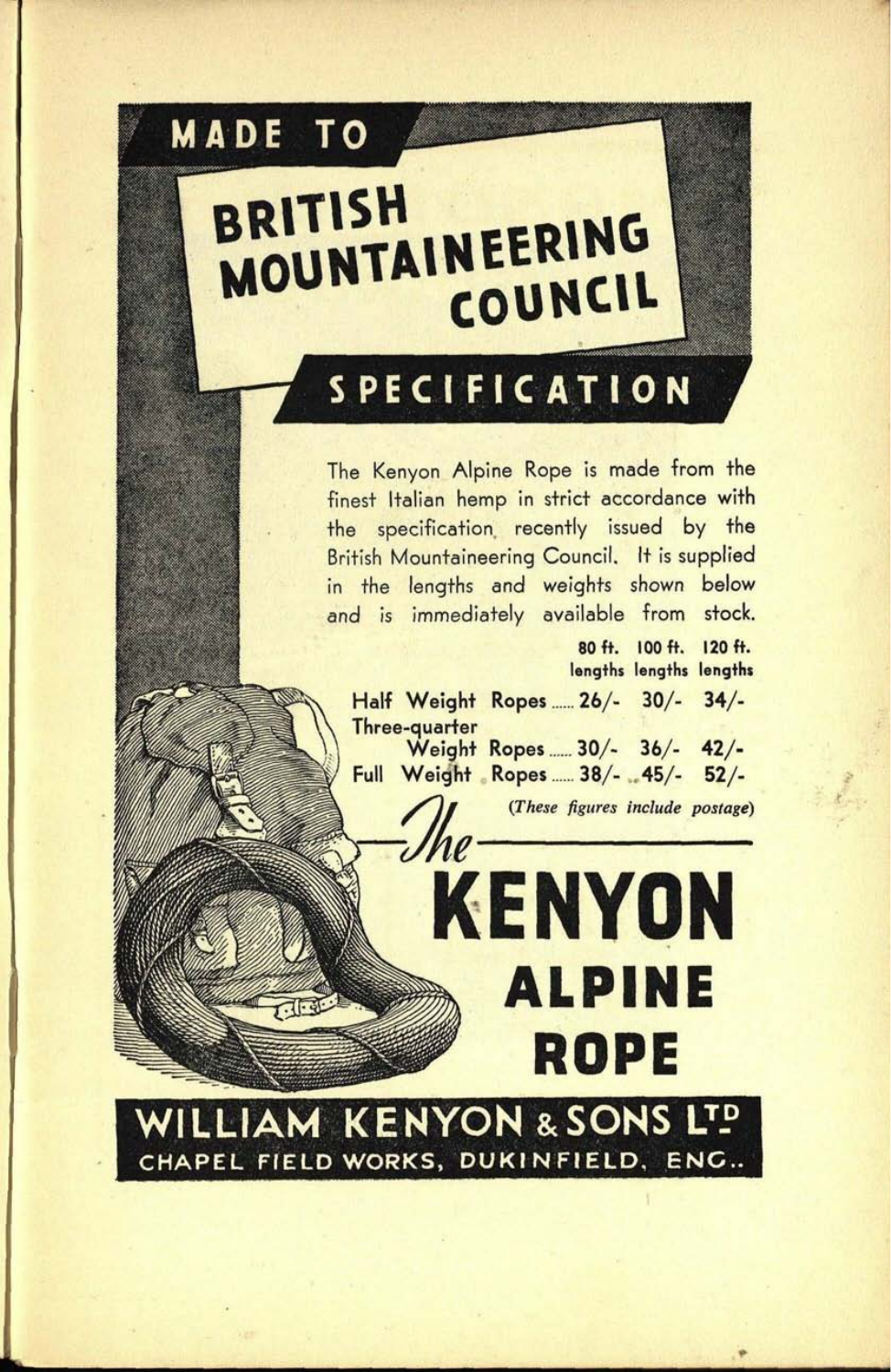## **MADE TO** BRITISH **BRITISH<br>MOUNTAINEERING** COUNCIL

## **SPECIFICATION**

The Kenyon Alpine Rope is made from the finest Italian hemp in strict accordance with the specification recently issued by the British Mountaineering Council. It is supplied in the lengths and weights shown below and is immediately available from stock.

**80ft. 100 ft. 120ft. lengths lengths lengths Half Weight Ropes ...... 26/- 30/- 34/- Three-quarter Weight Ropes ...... 30/- 36/-** 42/- **Full Weight Ropes ...... 38/- , 45/-** 52/-

**KENYON**

**ALPINE** 

**ROPE**

*(These figures include postage)*

**WILLIAM KENYON &SONS LTP CHAPEL FIELD WORKS, DUKIN FIELD, ENC.**

 $Jhe$ 

.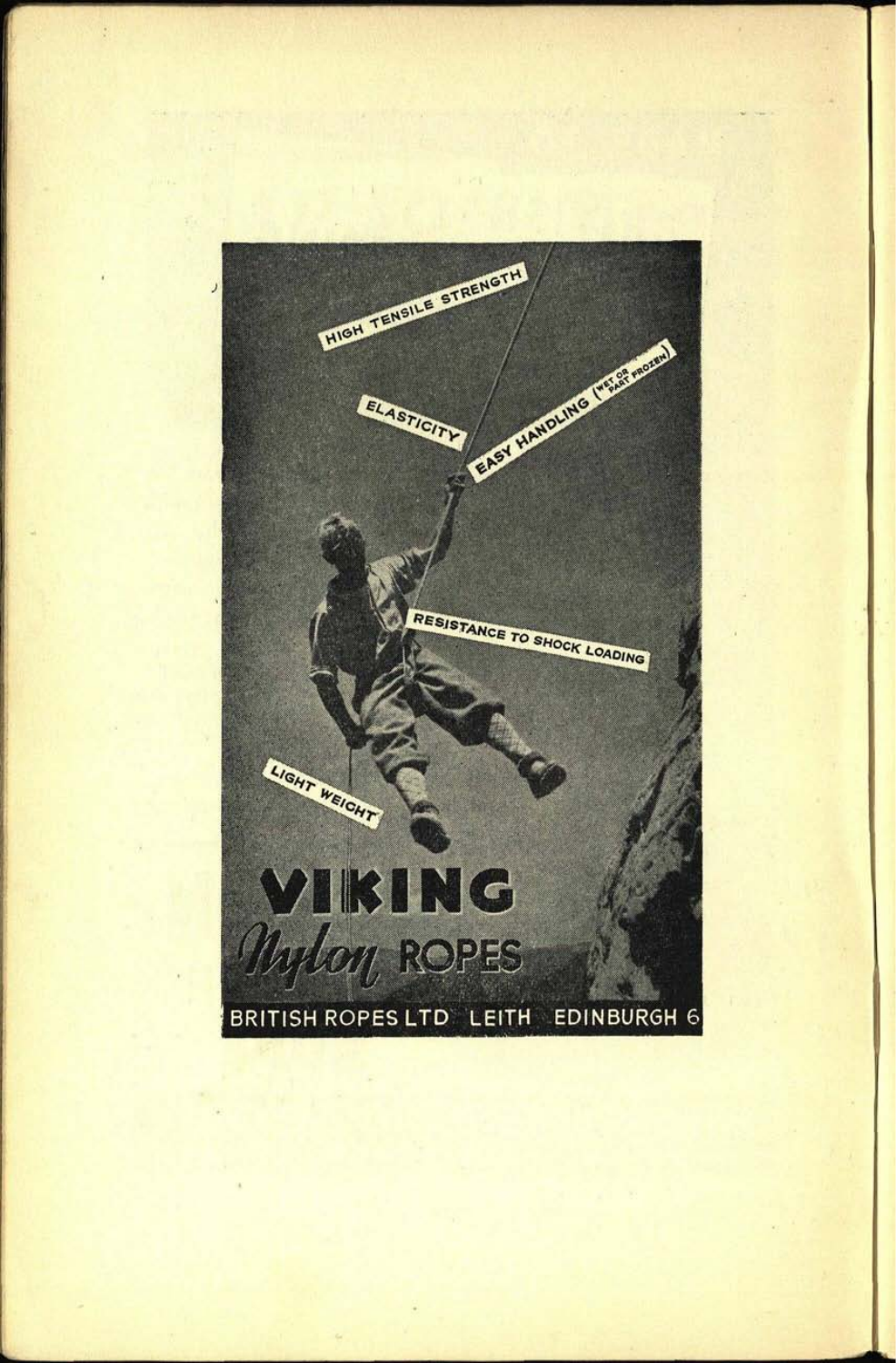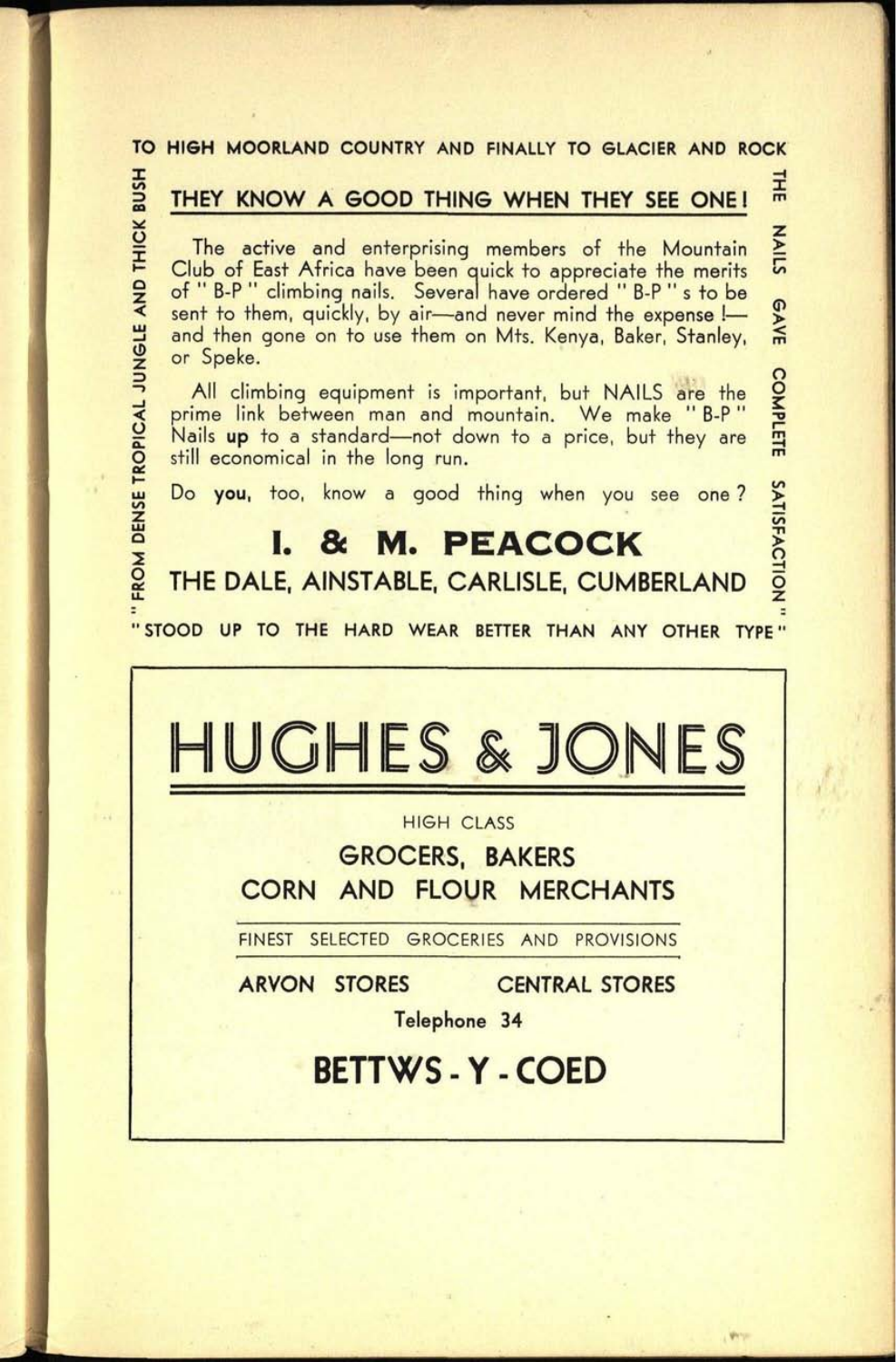#### **TO HIGH MOORLAND COUNTRY AND FINALLY TO GLACIER AND ROCK**

**59. 0146**

*O* I Q z

z>

**ROPIC** 

흼

#### **I ^ i THEY KNOW A GOOD THING WHEN THEY SEE ONE! <sup>m</sup>**

The active and enterprising members of the Mountain Club of East Africa have been quick to appreciate the merits of " B-P " climbing nails. Several have ordered " B-P " s to be sent to them, quickly, by air-and never mind the expense !and then gone on to use them on Mts. Kenya, Baker, Stanley, or Speke.

All climbing equipment is important, but NAILS are the prime link between man and mountain. We make " B-P" Nails up to a standard—not down to a price, but they are still economical in the long run.

o o

**GAVE** 

NAILS

**tn**

I O Z

Do you, too, know a good thing when you see one?

### **I. & M. PEACOCK**

**THE DALE, AINSTABLE, CARLISLE, CUMBERLAND**

**"STOOD UP TO THE HARD WEAR BETTER THAN ANY OTHER TYPE"**

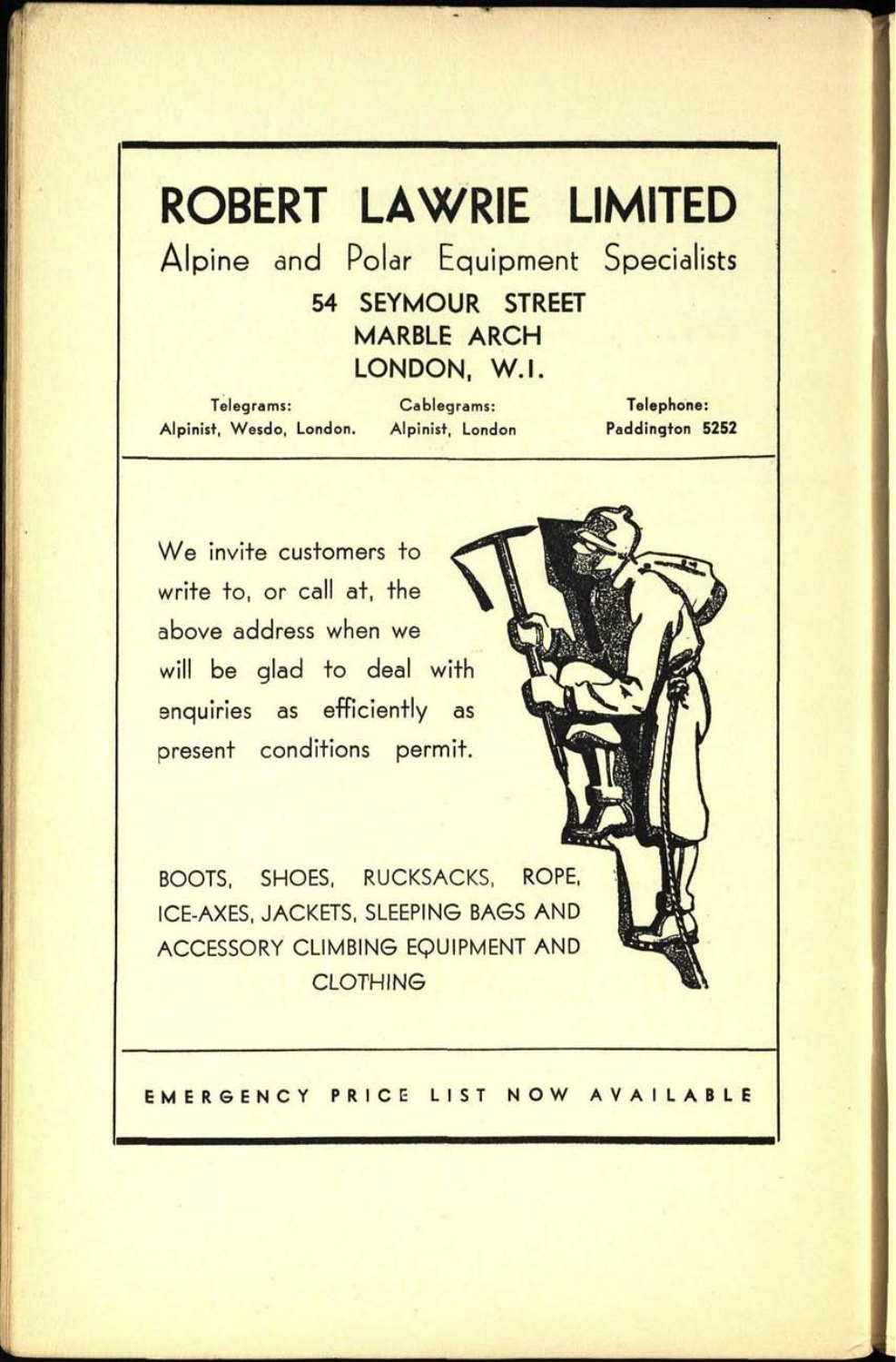## **ROBERT LAWRIE LIMITED**

Alpine and Polar Equipment Specialists

**54 SEYMOUR STREET MARBLE ARCH LONDON, W.I.**

Telegrams: Cablegrams: Telephone: Alpinist, Wesdo, London. Alpinist, London Paddington **5252**

We invite customers to write to, or call at, the above address when we will be glad to deal with enquiries as efficiently as present conditions permit.

BOOTS, SHOES, RUCKSACKS, ROPE, ICE-AXES, JACKETS, SLEEPING BAGS AND ACCESSORY CLIMBING EQUIPMENT AND **CLOTHING** 

**EMERGENCY PRICE LIST NOW AVAILABLE**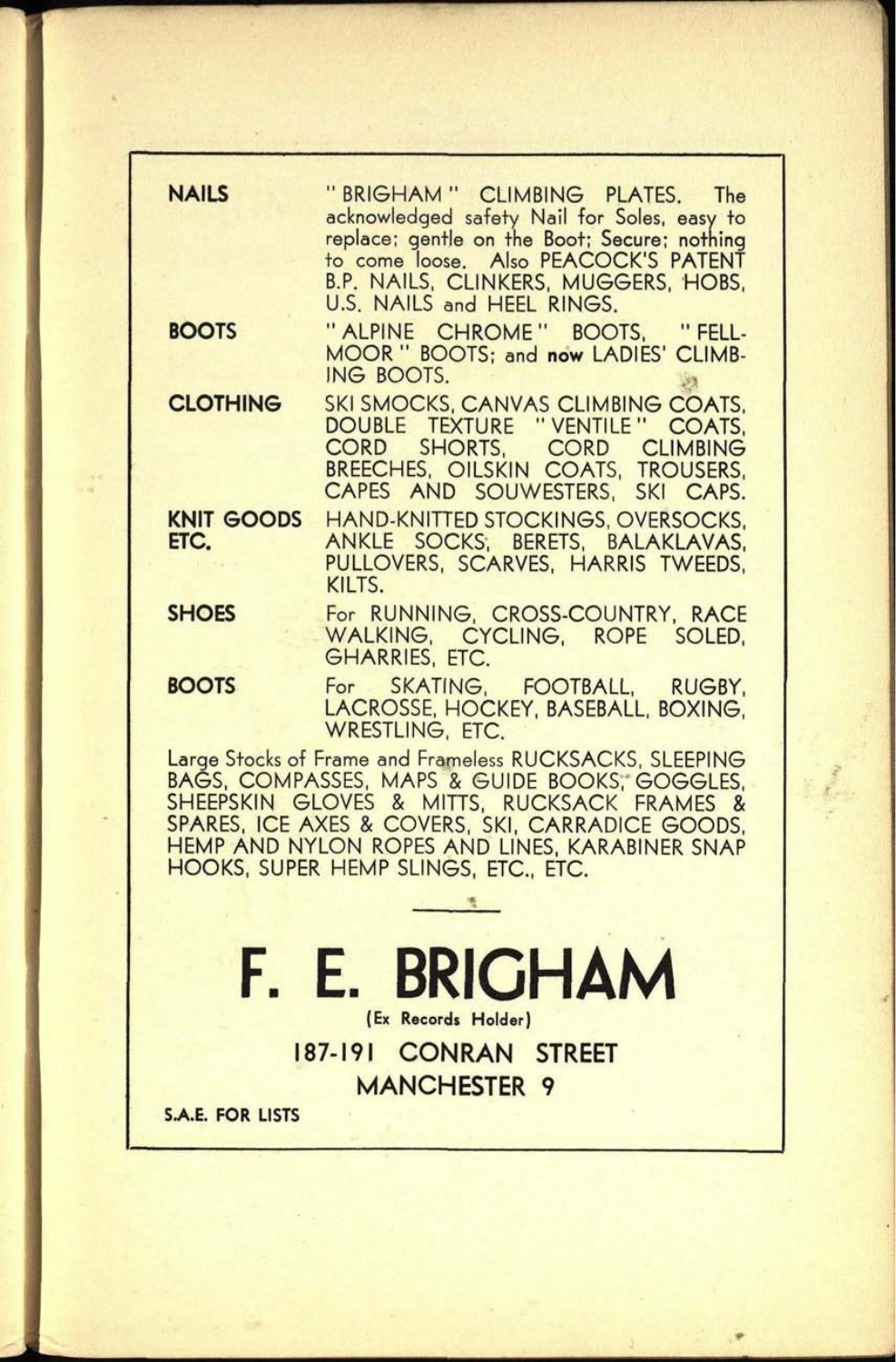| <b>NAILS</b>                                                                                       | "BRIGHAM" CLIMBING PLATES. The<br>acknowledged safety Nail for Soles, easy to |
|----------------------------------------------------------------------------------------------------|-------------------------------------------------------------------------------|
|                                                                                                    | replace; gentle on the Boot; Secure; nothing                                  |
|                                                                                                    | to come loose. Also PEACOCK'S PATENT                                          |
|                                                                                                    | B.P. NAILS, CLINKERS, MUGGERS, HOBS,<br>U.S. NAILS and HEEL RINGS.            |
| <b>BOOTS</b>                                                                                       | "ALPINE CHROME" BOOTS, "FELL-                                                 |
|                                                                                                    | MOOR " BOOTS; and now LADIES' CLIMB-                                          |
|                                                                                                    | ING BOOTS.                                                                    |
| <b>CLOTHING</b>                                                                                    | SKI SMOCKS, CANVAS CLIMBING COATS,                                            |
|                                                                                                    | DOUBLE TEXTURE "VENTILE" COATS,                                               |
|                                                                                                    | CORD SHORTS, CORD CLIMBING<br>BREECHES, OILSKIN COATS, TROUSERS,              |
|                                                                                                    | CAPES AND SOUWESTERS, SKI CAPS.                                               |
| KNIT GOODS<br>ETC.                                                                                 | <b>HAND-KNITTED STOCKINGS, OVERSOCKS,</b><br>ANKLE SOCKS; BERETS, BALAKLAVAS, |
|                                                                                                    | PULLOVERS, SCARVES, HARRIS TWEEDS,                                            |
|                                                                                                    | KILTS.                                                                        |
| <b>SHOES</b>                                                                                       | For RUNNING, CROSS-COUNTRY, RACE                                              |
|                                                                                                    | WALKING, CYCLING, ROPE SOLED,<br><b>GHARRIES, ETC.</b>                        |
| <b>BOOTS</b>                                                                                       |                                                                               |
|                                                                                                    | For SKATING, FOOTBALL, RUGBY,<br>LACROSSE, HOCKEY, BASEBALL, BOXING,          |
| <b>WRESTLING, ETC.</b>                                                                             |                                                                               |
| Large Stocks of Frame and Frameless RUCKSACKS, SLEEPING                                            |                                                                               |
| BAĞS, COMPASSES, MAPS & GUIDE BOOKS, GOGGLES,<br>SHEEPSKIN GLOVES & MITTS, RUCKSACK FRAMES &       |                                                                               |
| SPARES, ICE AXES & COVERS, SKI, CARRADICE GOODS,<br>HEMP AND NYLON ROPES AND LINES, KARABINER SNAP |                                                                               |
|                                                                                                    | HOOKS, SUPER HEMP SLINGS, ETC., ETC.                                          |
|                                                                                                    |                                                                               |
|                                                                                                    |                                                                               |
|                                                                                                    |                                                                               |
| F. E. BRIGHAM                                                                                      |                                                                               |
| (Ex Records Holder)                                                                                |                                                                               |
| 187-191 CONRAN STREET                                                                              |                                                                               |
| <b>MANCHESTER 9</b>                                                                                |                                                                               |
| <b>S.A.E. FOR LISTS</b>                                                                            |                                                                               |
|                                                                                                    |                                                                               |
|                                                                                                    |                                                                               |

T**61. 0148**